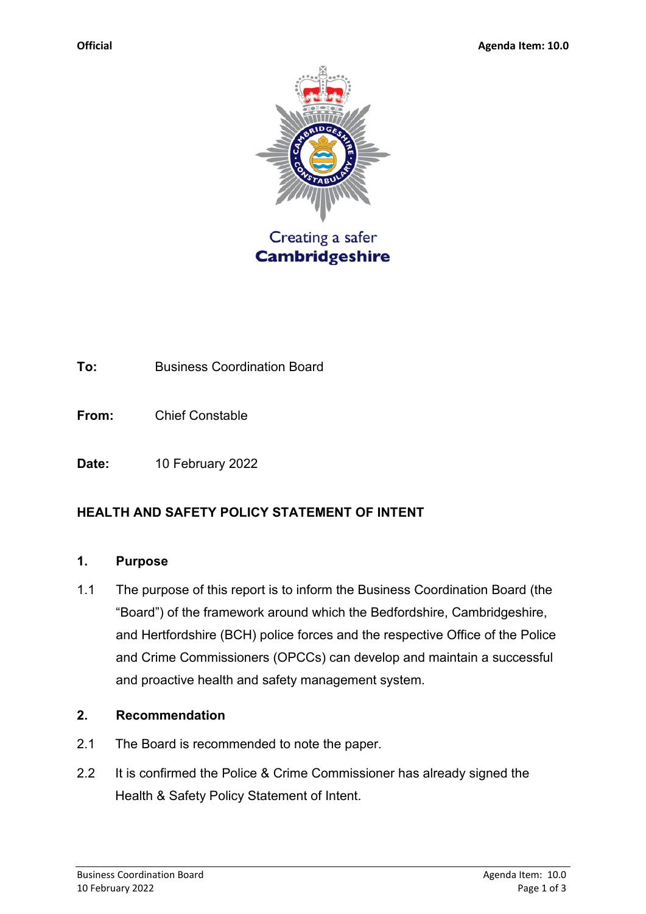

**To:** Business Coordination Board

**From:** Chief Constable

**Date:** 10 February 2022

## **HEALTH AND SAFETY POLICY STATEMENT OF INTENT**

#### **1. Purpose**

1.1 The purpose of this report is to inform the Business Coordination Board (the "Board") of the framework around which the Bedfordshire, Cambridgeshire, and Hertfordshire (BCH) police forces and the respective Office of the Police and Crime Commissioners (OPCCs) can develop and maintain a successful and proactive health and safety management system.

#### **2. Recommendation**

- 2.1 The Board is recommended to note the paper.
- 2.2 It is confirmed the Police & Crime Commissioner has already signed the Health & Safety Policy Statement of Intent.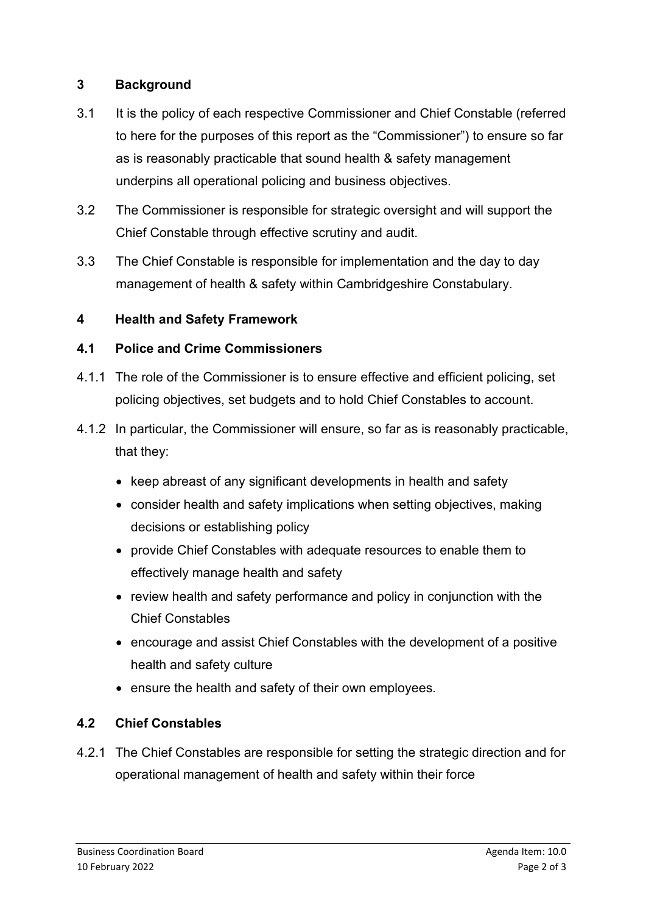## **3 Background**

- 3.1 It is the policy of each respective Commissioner and Chief Constable (referred to here for the purposes of this report as the "Commissioner") to ensure so far as is reasonably practicable that sound health & safety management underpins all operational policing and business objectives.
- 3.2 The Commissioner is responsible for strategic oversight and will support the Chief Constable through effective scrutiny and audit.
- 3.3 The Chief Constable is responsible for implementation and the day to day management of health & safety within Cambridgeshire Constabulary.

## **4 Health and Safety Framework**

## **4.1 Police and Crime Commissioners**

- 4.1.1 The role of the Commissioner is to ensure effective and efficient policing, set policing objectives, set budgets and to hold Chief Constables to account.
- 4.1.2 In particular, the Commissioner will ensure, so far as is reasonably practicable, that they:
	- keep abreast of any significant developments in health and safety
	- consider health and safety implications when setting objectives, making decisions or establishing policy
	- provide Chief Constables with adequate resources to enable them to effectively manage health and safety
	- review health and safety performance and policy in conjunction with the Chief Constables
	- encourage and assist Chief Constables with the development of a positive health and safety culture
	- ensure the health and safety of their own employees.

# **4.2 Chief Constables**

4.2.1 The Chief Constables are responsible for setting the strategic direction and for operational management of health and safety within their force